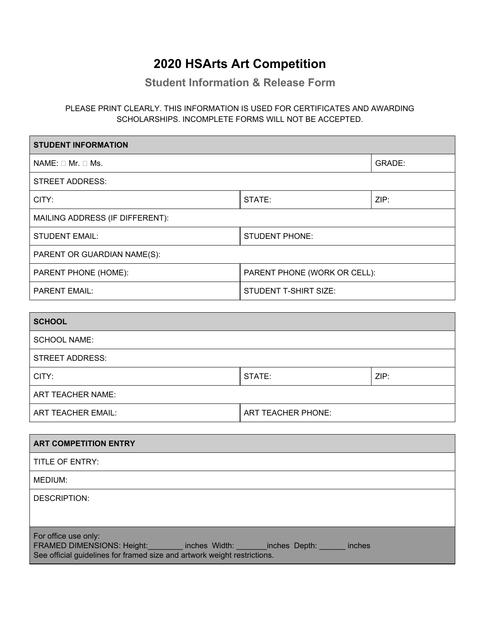## **2020 HSArts Art Competition**

**Student Information & Release Form**

PLEASE PRINT CLEARLY. THIS INFORMATION IS USED FOR CERTIFICATES AND AWARDING SCHOLARSHIPS. INCOMPLETE FORMS WILL NOT BE ACCEPTED.

| <b>STUDENT INFORMATION</b>      |                              |        |  |
|---------------------------------|------------------------------|--------|--|
| $NAME: \Box Mr. \Box Ms.$       |                              | GRADE: |  |
| STREET ADDRESS:                 |                              |        |  |
| CITY:                           | STATE:                       | ZIP:   |  |
| MAILING ADDRESS (IF DIFFERENT): |                              |        |  |
| <b>STUDENT EMAIL:</b>           | STUDENT PHONE:               |        |  |
| PARENT OR GUARDIAN NAME(S):     |                              |        |  |
| PARENT PHONE (HOME):            | PARENT PHONE (WORK OR CELL): |        |  |
| <b>PARENT EMAIL:</b>            | <b>STUDENT T-SHIRT SIZE:</b> |        |  |
|                                 |                              |        |  |

| <b>SCHOOL</b>            |                           |      |  |
|--------------------------|---------------------------|------|--|
| <b>SCHOOL NAME:</b>      |                           |      |  |
| <b>STREET ADDRESS:</b>   |                           |      |  |
| CITY:                    | STATE:                    | ZIP: |  |
| <b>ART TEACHER NAME:</b> |                           |      |  |
| ART TEACHER EMAIL:       | <b>ART TEACHER PHONE:</b> |      |  |

| <b>ART COMPETITION ENTRY</b>                                                                                                                                                       |
|------------------------------------------------------------------------------------------------------------------------------------------------------------------------------------|
| TITLE OF ENTRY:                                                                                                                                                                    |
| MEDIUM:                                                                                                                                                                            |
| DESCRIPTION:                                                                                                                                                                       |
| For office use only:<br>FRAMED DIMENSIONS: Height: inches Width: inches Depth: inches Depth:<br>inches<br>See official guidelines for framed size and artwork weight restrictions. |